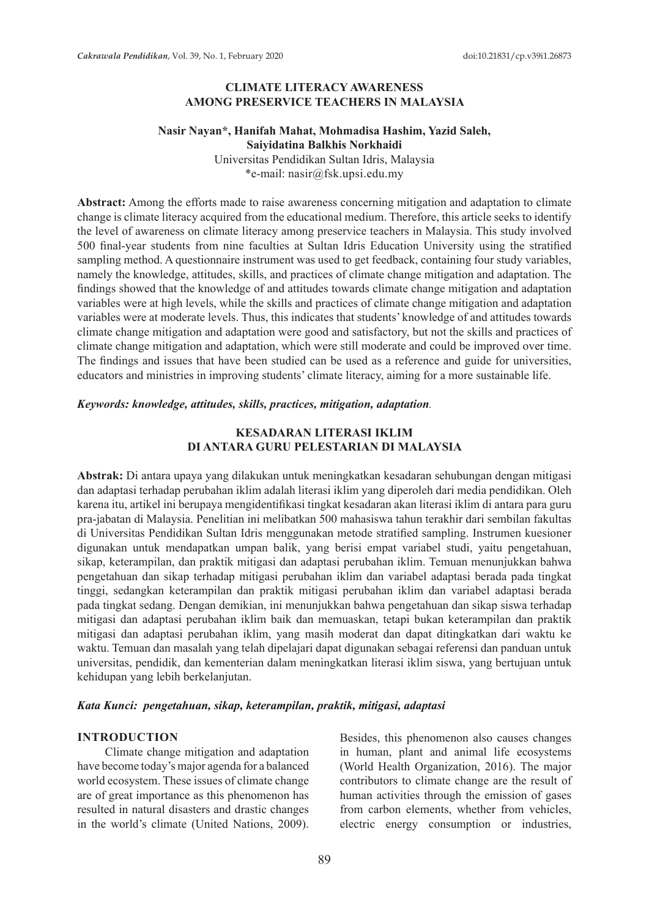# **CLIMATE LITERACY AWARENESS AMONG PRESERVICE TEACHERS IN MALAYSIA**

## **Nasir Nayan\*, Hanifah Mahat, Mohmadisa Hashim, Yazid Saleh, Saiyidatina Balkhis Norkhaidi**

Universitas Pendidikan Sultan Idris, Malaysia \*e-mail: nasir@fsk.upsi.edu.my

**Abstract:** Among the efforts made to raise awareness concerning mitigation and adaptation to climate change is climate literacy acquired from the educational medium. Therefore, this article seeks to identify the level of awareness on climate literacy among preservice teachers in Malaysia. This study involved 500 final-year students from nine faculties at Sultan Idris Education University using the stratified sampling method. A questionnaire instrument was used to get feedback, containing four study variables, namely the knowledge, attitudes, skills, and practices of climate change mitigation and adaptation. The findings showed that the knowledge of and attitudes towards climate change mitigation and adaptation variables were at high levels, while the skills and practices of climate change mitigation and adaptation variables were at moderate levels. Thus, this indicates that students' knowledge of and attitudes towards climate change mitigation and adaptation were good and satisfactory, but not the skills and practices of climate change mitigation and adaptation, which were still moderate and could be improved over time. The findings and issues that have been studied can be used as a reference and guide for universities, educators and ministries in improving students' climate literacy, aiming for a more sustainable life.

### *Keywords: knowledge, attitudes, skills, practices, mitigation, adaptation.*

## **KESADARAN LITERASI IKLIM DI ANTARA GURU PELESTARIAN DI MALAYSIA**

**Abstrak:** Di antara upaya yang dilakukan untuk meningkatkan kesadaran sehubungan dengan mitigasi dan adaptasi terhadap perubahan iklim adalah literasi iklim yang diperoleh dari media pendidikan. Oleh karena itu, artikel ini berupaya mengidentifikasi tingkat kesadaran akan literasi iklim di antara para guru pra-jabatan di Malaysia. Penelitian ini melibatkan 500 mahasiswa tahun terakhir dari sembilan fakultas di Universitas Pendidikan Sultan Idris menggunakan metode stratified sampling. Instrumen kuesioner digunakan untuk mendapatkan umpan balik, yang berisi empat variabel studi, yaitu pengetahuan, sikap, keterampilan, dan praktik mitigasi dan adaptasi perubahan iklim. Temuan menunjukkan bahwa pengetahuan dan sikap terhadap mitigasi perubahan iklim dan variabel adaptasi berada pada tingkat tinggi, sedangkan keterampilan dan praktik mitigasi perubahan iklim dan variabel adaptasi berada pada tingkat sedang. Dengan demikian, ini menunjukkan bahwa pengetahuan dan sikap siswa terhadap mitigasi dan adaptasi perubahan iklim baik dan memuaskan, tetapi bukan keterampilan dan praktik mitigasi dan adaptasi perubahan iklim, yang masih moderat dan dapat ditingkatkan dari waktu ke waktu. Temuan dan masalah yang telah dipelajari dapat digunakan sebagai referensi dan panduan untuk universitas, pendidik, dan kementerian dalam meningkatkan literasi iklim siswa, yang bertujuan untuk kehidupan yang lebih berkelanjutan.

#### *Kata Kunci: pengetahuan, sikap, keterampilan, praktik, mitigasi, adaptasi*

## **INTRODUCTION**

Climate change mitigation and adaptation have become today's major agenda for a balanced world ecosystem. These issues of climate change are of great importance as this phenomenon has resulted in natural disasters and drastic changes in the world's climate (United Nations, 2009). Besides, this phenomenon also causes changes in human, plant and animal life ecosystems (World Health Organization, 2016). The major contributors to climate change are the result of human activities through the emission of gases from carbon elements, whether from vehicles, electric energy consumption or industries,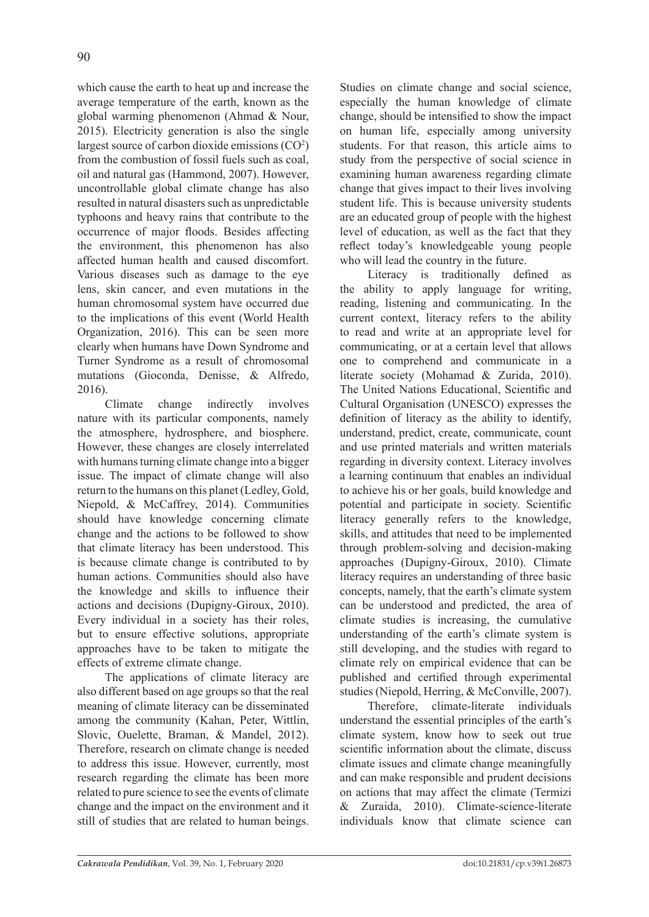which cause the earth to heat up and increase the average temperature of the earth, known as the global warming phenomenon (Ahmad & Nour, 2015). Electricity generation is also the single largest source of carbon dioxide emissions (CO<sup>2</sup>) from the combustion of fossil fuels such as coal, oil and natural gas (Hammond, 2007). However, uncontrollable global climate change has also resulted in natural disasters such as unpredictable typhoons and heavy rains that contribute to the occurrence of major floods. Besides affecting the environment, this phenomenon has also affected human health and caused discomfort. Various diseases such as damage to the eye lens, skin cancer, and even mutations in the human chromosomal system have occurred due to the implications of this event (World Health Organization, 2016). This can be seen more clearly when humans have Down Syndrome and Turner Syndrome as a result of chromosomal mutations (Gioconda, Denisse, & Alfredo, 2016).

Climate change indirectly involves nature with its particular components, namely the atmosphere, hydrosphere, and biosphere. However, these changes are closely interrelated with humans turning climate change into a bigger issue. The impact of climate change will also return to the humans on this planet (Ledley, Gold, Niepold, & McCaffrey, 2014). Communities should have knowledge concerning climate change and the actions to be followed to show that climate literacy has been understood. This is because climate change is contributed to by human actions. Communities should also have the knowledge and skills to influence their actions and decisions (Dupigny-Giroux, 2010). Every individual in a society has their roles, but to ensure effective solutions, appropriate approaches have to be taken to mitigate the effects of extreme climate change.

The applications of climate literacy are also different based on age groups so that the real meaning of climate literacy can be disseminated among the community (Kahan, Peter, Wittlin, Slovic, Ouelette, Braman, & Mandel, 2012). Therefore, research on climate change is needed to address this issue. However, currently, most research regarding the climate has been more related to pure science to see the events of climate change and the impact on the environment and it still of studies that are related to human beings.

Studies on climate change and social science, especially the human knowledge of climate change, should be intensified to show the impact on human life, especially among university students. For that reason, this article aims to study from the perspective of social science in examining human awareness regarding climate change that gives impact to their lives involving student life. This is because university students are an educated group of people with the highest level of education, as well as the fact that they reflect today's knowledgeable young people who will lead the country in the future.

Literacy is traditionally defined as the ability to apply language for writing, reading, listening and communicating. In the current context, literacy refers to the ability to read and write at an appropriate level for communicating, or at a certain level that allows one to comprehend and communicate in a literate society (Mohamad & Zurida, 2010). The United Nations Educational, Scientific and Cultural Organisation (UNESCO) expresses the definition of literacy as the ability to identify, understand, predict, create, communicate, count and use printed materials and written materials regarding in diversity context. Literacy involves a learning continuum that enables an individual to achieve his or her goals, build knowledge and potential and participate in society. Scientific literacy generally refers to the knowledge, skills, and attitudes that need to be implemented through problem-solving and decision-making approaches (Dupigny-Giroux, 2010). Climate literacy requires an understanding of three basic concepts, namely, that the earth's climate system can be understood and predicted, the area of climate studies is increasing, the cumulative understanding of the earth's climate system is still developing, and the studies with regard to climate rely on empirical evidence that can be published and certified through experimental studies (Niepold, Herring, & McConville, 2007).

Therefore, climate-literate individuals understand the essential principles of the earth's climate system, know how to seek out true scientific information about the climate, discuss climate issues and climate change meaningfully and can make responsible and prudent decisions on actions that may affect the climate (Termizi & Zuraida, 2010). Climate-science-literate individuals know that climate science can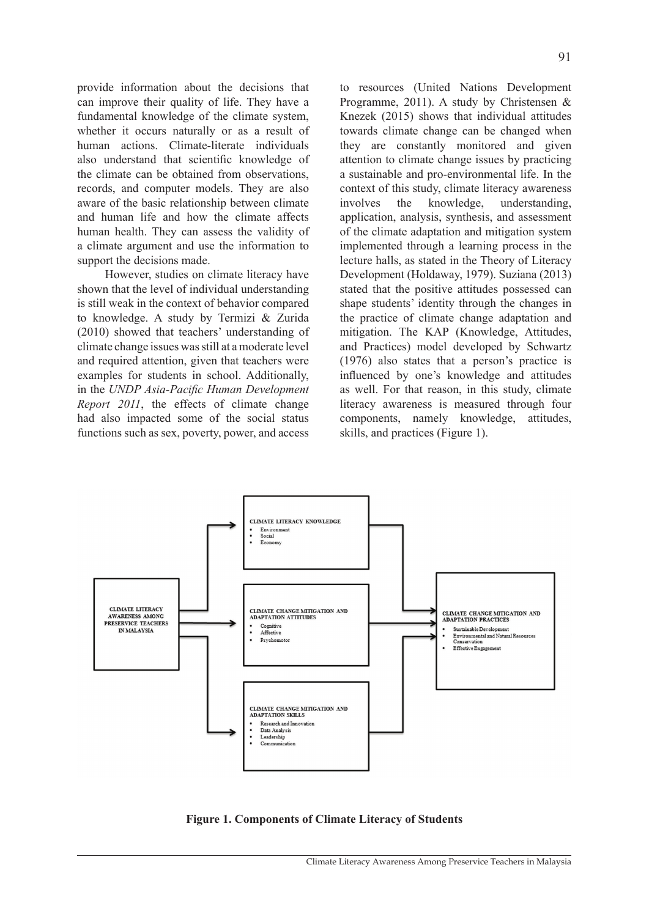provide information about the decisions that can improve their quality of life. They have a fundamental knowledge of the climate system, whether it occurs naturally or as a result of human actions. Climate-literate individuals also understand that scientific knowledge of the climate can be obtained from observations, records, and computer models. They are also aware of the basic relationship between climate and human life and how the climate affects human health. They can assess the validity of a climate argument and use the information to support the decisions made.

However, studies on climate literacy have shown that the level of individual understanding is still weak in the context of behavior compared to knowledge. A study by Termizi & Zurida (2010) showed that teachers' understanding of climate change issues was still at a moderate level and required attention, given that teachers were examples for students in school. Additionally, in the *UNDP Asia-Pacific Human Development Report 2011*, the effects of climate change had also impacted some of the social status functions such as sex, poverty, power, and access to resources (United Nations Development Programme, 2011). A study by Christensen & Knezek (2015) shows that individual attitudes towards climate change can be changed when they are constantly monitored and given attention to climate change issues by practicing a sustainable and pro-environmental life. In the context of this study, climate literacy awareness involves the knowledge, understanding, application, analysis, synthesis, and assessment of the climate adaptation and mitigation system implemented through a learning process in the lecture halls, as stated in the Theory of Literacy Development (Holdaway, 1979). Suziana (2013) stated that the positive attitudes possessed can shape students' identity through the changes in the practice of climate change adaptation and mitigation. The KAP (Knowledge, Attitudes, and Practices) model developed by Schwartz (1976) also states that a person's practice is influenced by one's knowledge and attitudes as well. For that reason, in this study, climate literacy awareness is measured through four components, namely knowledge, attitudes, skills, and practices (Figure 1).



**Figure 1. Components of Climate Literacy of Students**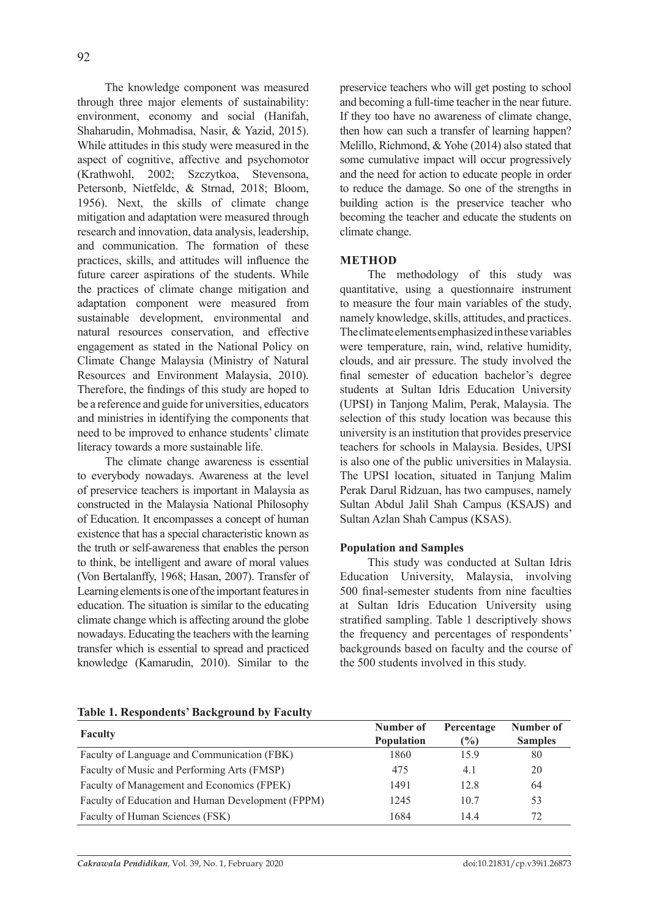The knowledge component was measured through three major elements of sustainability: environment, economy and social (Hanifah, Shaharudin, Mohmadisa, Nasir, & Yazid, 2015). While attitudes in this study were measured in the aspect of cognitive, affective and psychomotor (Krathwohl, 2002; Szczytkoa, Stevensona, Petersonb, Nietfeldc, & Strnad, 2018; Bloom, 1956). Next, the skills of climate change mitigation and adaptation were measured through research and innovation, data analysis, leadership, and communication. The formation of these practices, skills, and attitudes will influence the future career aspirations of the students. While the practices of climate change mitigation and adaptation component were measured from sustainable development, environmental and natural resources conservation, and effective engagement as stated in the National Policy on Climate Change Malaysia (Ministry of Natural Resources and Environment Malaysia, 2010). Therefore, the findings of this study are hoped to be a reference and guide for universities, educators and ministries in identifying the components that need to be improved to enhance students' climate literacy towards a more sustainable life.

The climate change awareness is essential to everybody nowadays. Awareness at the level of preservice teachers is important in Malaysia as constructed in the Malaysia National Philosophy of Education. It encompasses a concept of human existence that has a special characteristic known as the truth or self-awareness that enables the person to think, be intelligent and aware of moral values (Von Bertalanffy, 1968; Hasan, 2007). Transfer of Learning elements is one of the important features in education. The situation is similar to the educating climate change which is affecting around the globe nowadays. Educating the teachers with the learning transfer which is essential to spread and practiced knowledge (Kamarudin, 2010). Similar to the

preservice teachers who will get posting to school and becoming a full-time teacher in the near future. If they too have no awareness of climate change, then how can such a transfer of learning happen? Melillo, Richmond, & Yohe (2014) also stated that some cumulative impact will occur progressively and the need for action to educate people in order to reduce the damage. So one of the strengths in building action is the preservice teacher who becoming the teacher and educate the students on climate change.

# **METHOD**

The methodology of this study was quantitative, using a questionnaire instrument to measure the four main variables of the study, namely knowledge, skills, attitudes, and practices. The climate elements emphasized in these variables were temperature, rain, wind, relative humidity, clouds, and air pressure. The study involved the final semester of education bachelor's degree students at Sultan Idris Education University (UPSI) in Tanjong Malim, Perak, Malaysia. The selection of this study location was because this university is an institution that provides preservice teachers for schools in Malaysia. Besides, UPSI is also one of the public universities in Malaysia. The UPSI location, situated in Tanjung Malim Perak Darul Ridzuan, has two campuses, namely Sultan Abdul Jalil Shah Campus (KSAJS) and Sultan Azlan Shah Campus (KSAS).

# **Population and Samples**

This study was conducted at Sultan Idris Education University, Malaysia, involving 500 final-semester students from nine faculties at Sultan Idris Education University using stratified sampling. Table 1 descriptively shows the frequency and percentages of respondents' backgrounds based on faculty and the course of the 500 students involved in this study.

| Table 1. Respondents' Background by Faculty |  |
|---------------------------------------------|--|
|                                             |  |

| <b>Faculty</b>                                    | Number of<br><b>Population</b> | Percentage<br>$\frac{9}{6}$ | Number of<br><b>Samples</b> |
|---------------------------------------------------|--------------------------------|-----------------------------|-----------------------------|
| Faculty of Language and Communication (FBK)       | 1860                           | 15.9                        | 80                          |
| Faculty of Music and Performing Arts (FMSP)       | 475                            | 4.1                         | 20                          |
| Faculty of Management and Economics (FPEK)        | 1491                           | 12.8                        | 64                          |
| Faculty of Education and Human Development (FPPM) | 1245                           | 10.7                        | 53                          |
| Faculty of Human Sciences (FSK)                   | 1684                           | 144                         | 72                          |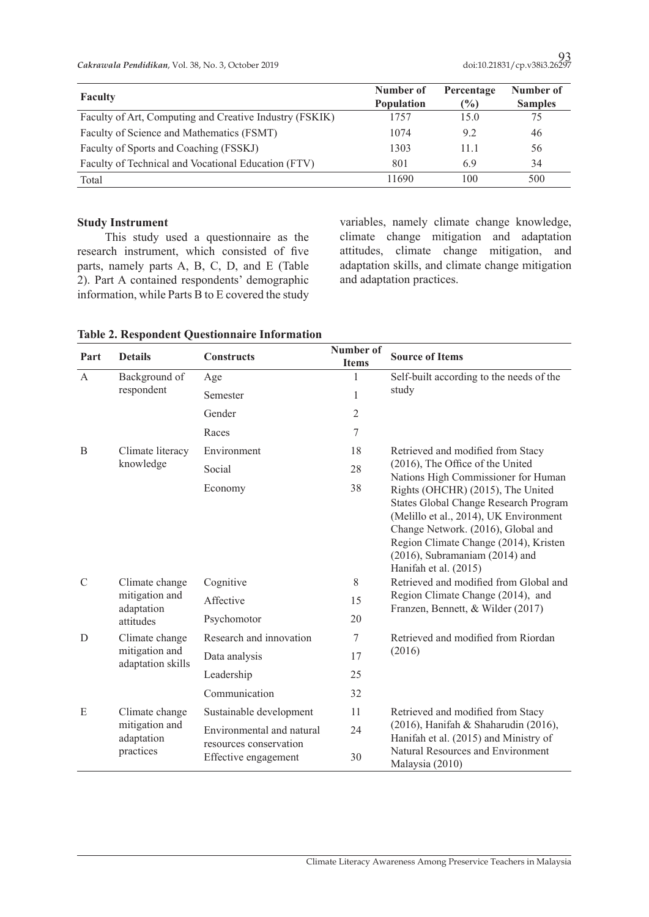| <b>Faculty</b>                                          | Number of<br><b>Population</b> | Percentage<br>$\frac{10}{6}$ | Number of<br><b>Samples</b> |
|---------------------------------------------------------|--------------------------------|------------------------------|-----------------------------|
| Faculty of Art, Computing and Creative Industry (FSKIK) | 1757                           | 15.0                         | 75                          |
| Faculty of Science and Mathematics (FSMT)               | 1074                           | 9.2                          | 46                          |
| Faculty of Sports and Coaching (FSSKJ)                  | 1303                           | 11.1                         | 56                          |
| Faculty of Technical and Vocational Education (FTV)     | 801                            | 69                           | 34                          |
| Total                                                   | 11690                          | 100                          | 500                         |

# **Study Instrument**

This study used a questionnaire as the research instrument, which consisted of five parts, namely parts A, B, C, D, and E (Table 2). Part A contained respondents' demographic information, while Parts B to E covered the study

variables, namely climate change knowledge, climate change mitigation and adaptation attitudes, climate change mitigation, and adaptation skills, and climate change mitigation and adaptation practices.

| <b>Table 2. Respondent Questionnaire Information</b> |  |  |
|------------------------------------------------------|--|--|
|------------------------------------------------------|--|--|

| Part          | <b>Details</b>                      | <b>Constructs</b>                                   | Number of<br><b>Items</b> | <b>Source of Items</b>                                                                                                                                                                                                                                                                                     |
|---------------|-------------------------------------|-----------------------------------------------------|---------------------------|------------------------------------------------------------------------------------------------------------------------------------------------------------------------------------------------------------------------------------------------------------------------------------------------------------|
| A             | Background of                       | Age                                                 | 1                         | Self-built according to the needs of the                                                                                                                                                                                                                                                                   |
|               | respondent                          | Semester                                            | $\mathbf{1}$              | study                                                                                                                                                                                                                                                                                                      |
|               |                                     | Gender                                              | $\mathfrak{2}$            |                                                                                                                                                                                                                                                                                                            |
|               |                                     | Races                                               | $\sqrt{ }$                |                                                                                                                                                                                                                                                                                                            |
| B             | Climate literacy                    | Environment                                         | 18                        | Retrieved and modified from Stacy                                                                                                                                                                                                                                                                          |
|               | knowledge                           | Social                                              | 28                        | (2016), The Office of the United                                                                                                                                                                                                                                                                           |
|               |                                     | Economy                                             | 38                        | Nations High Commissioner for Human<br>Rights (OHCHR) (2015), The United<br>States Global Change Research Program<br>(Melillo et al., 2014), UK Environment<br>Change Network. (2016), Global and<br>Region Climate Change (2014), Kristen<br>$(2016)$ , Subramaniam $(2014)$ and<br>Hanifah et al. (2015) |
| $\mathcal{C}$ | Climate change                      | Cognitive                                           | 8                         | Retrieved and modified from Global and                                                                                                                                                                                                                                                                     |
|               | mitigation and<br>adaptation        | Affective                                           | 15                        | Region Climate Change (2014), and<br>Franzen, Bennett, & Wilder (2017)                                                                                                                                                                                                                                     |
|               | attitudes                           | Psychomotor                                         | 20                        |                                                                                                                                                                                                                                                                                                            |
| D             | Climate change                      | Research and innovation                             | 7                         | Retrieved and modified from Riordan                                                                                                                                                                                                                                                                        |
|               | mitigation and<br>adaptation skills | Data analysis                                       | 17                        | (2016)                                                                                                                                                                                                                                                                                                     |
|               |                                     | Leadership                                          | 25                        |                                                                                                                                                                                                                                                                                                            |
|               |                                     | Communication                                       | 32                        |                                                                                                                                                                                                                                                                                                            |
| E             | Climate change                      | Sustainable development                             | 11                        | Retrieved and modified from Stacy                                                                                                                                                                                                                                                                          |
|               | mitigation and<br>adaptation        | Environmental and natural<br>resources conservation | 24                        | (2016), Hanifah & Shaharudin (2016),<br>Hanifah et al. (2015) and Ministry of                                                                                                                                                                                                                              |
|               | practices                           | Effective engagement                                | 30                        | Natural Resources and Environment<br>Malaysia (2010)                                                                                                                                                                                                                                                       |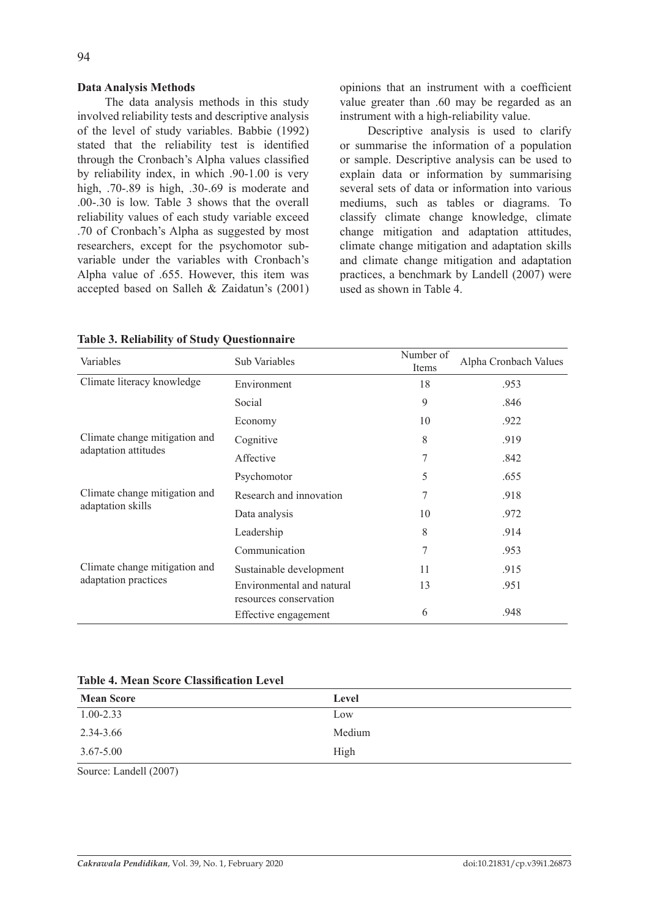# **Data Analysis Methods**

The data analysis methods in this study involved reliability tests and descriptive analysis of the level of study variables. Babbie (1992) stated that the reliability test is identified through the Cronbach's Alpha values classified by reliability index, in which .90-1.00 is very high, .70-.89 is high, .30-.69 is moderate and .00-.30 is low. Table 3 shows that the overall reliability values of each study variable exceed .70 of Cronbach's Alpha as suggested by most researchers, except for the psychomotor subvariable under the variables with Cronbach's Alpha value of .655. However, this item was accepted based on Salleh & Zaidatun's (2001) opinions that an instrument with a coefficient value greater than .60 may be regarded as an instrument with a high-reliability value.

Descriptive analysis is used to clarify or summarise the information of a population or sample. Descriptive analysis can be used to explain data or information by summarising several sets of data or information into various mediums, such as tables or diagrams. To classify climate change knowledge, climate change mitigation and adaptation attitudes, climate change mitigation and adaptation skills and climate change mitigation and adaptation practices, a benchmark by Landell (2007) were used as shown in Table 4.

| Variables                     | Sub Variables                                       | Number of<br>Items | Alpha Cronbach Values |
|-------------------------------|-----------------------------------------------------|--------------------|-----------------------|
| Climate literacy knowledge    | Environment                                         | 18                 | .953                  |
|                               | Social                                              | 9                  | .846                  |
|                               | Economy                                             | 10                 | .922                  |
| Climate change mitigation and | Cognitive                                           | 8                  | .919                  |
| adaptation attitudes          | Affective                                           | 7                  | .842                  |
|                               | Psychomotor                                         | 5                  | .655                  |
| Climate change mitigation and | Research and innovation                             |                    | .918                  |
| adaptation skills             | Data analysis                                       | 10                 | .972                  |
|                               | Leadership                                          | 8                  | .914                  |
|                               | Communication                                       | 7                  | .953                  |
| Climate change mitigation and | Sustainable development                             | 11                 | .915                  |
| adaptation practices          | Environmental and natural<br>resources conservation | 13                 | .951                  |
|                               | Effective engagement                                | 6                  | .948                  |

|  | <b>Table 3. Reliability of Study Questionnaire</b> |  |  |
|--|----------------------------------------------------|--|--|
|  |                                                    |  |  |

**Table 4. Mean Score Classification Level**

| <b>Mean Score</b> | Level  |
|-------------------|--------|
| $1.00 - 2.33$     | Low    |
| 2.34-3.66         | Medium |
| $3.67 - 5.00$     | High   |

Source: Landell (2007)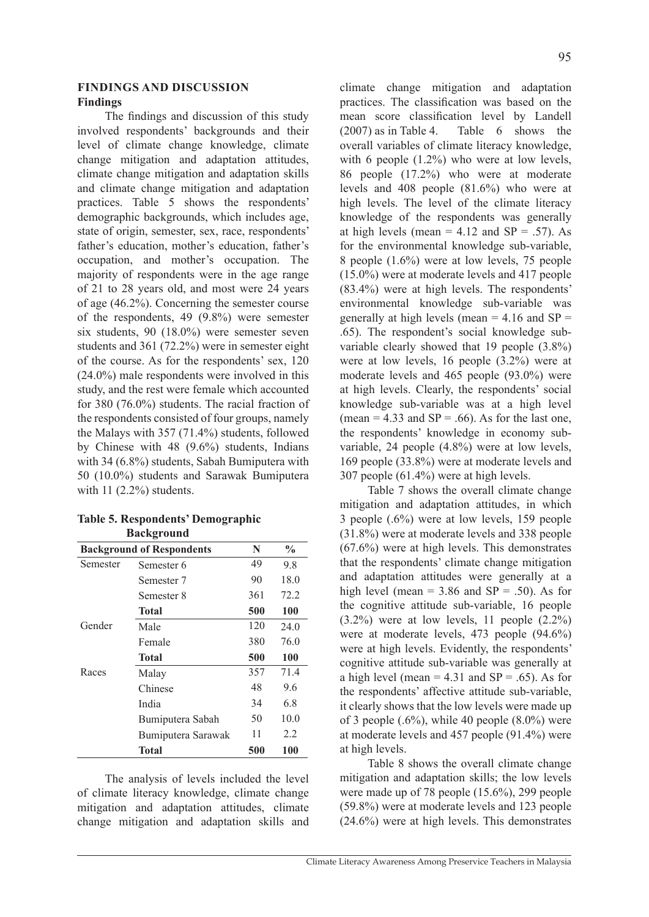# **FINDINGS AND DISCUSSION Findings**

The findings and discussion of this study involved respondents' backgrounds and their level of climate change knowledge, climate change mitigation and adaptation attitudes, climate change mitigation and adaptation skills and climate change mitigation and adaptation practices. Table 5 shows the respondents' demographic backgrounds, which includes age, state of origin, semester, sex, race, respondents' father's education, mother's education, father's occupation, and mother's occupation. The majority of respondents were in the age range of 21 to 28 years old, and most were 24 years of age (46.2%). Concerning the semester course of the respondents, 49 (9.8%) were semester six students, 90 (18.0%) were semester seven students and 361 (72.2%) were in semester eight of the course. As for the respondents' sex, 120 (24.0%) male respondents were involved in this study, and the rest were female which accounted for 380 (76.0%) students. The racial fraction of the respondents consisted of four groups, namely the Malays with 357 (71.4%) students, followed by Chinese with 48 (9.6%) students, Indians with 34 (6.8%) students, Sabah Bumiputera with 50 (10.0%) students and Sarawak Bumiputera with  $11$   $(2.2\%)$  students.

|          | <b>Background of Respondents</b> |     |      |  |  |
|----------|----------------------------------|-----|------|--|--|
| Semester | Semester 6                       | 49  | 9.8  |  |  |
|          | Semester 7                       | 90  | 18.0 |  |  |
|          | Semester 8                       | 361 | 72.2 |  |  |
|          | Total                            | 500 | 100  |  |  |
| Gender   | Male                             | 120 | 24.0 |  |  |
|          | Female                           | 380 | 76.0 |  |  |
|          | Total                            | 500 | 100  |  |  |
| Races    | Malay                            | 357 | 71.4 |  |  |
|          | Chinese                          | 48  | 9.6  |  |  |
|          | India                            | 34  | 6.8  |  |  |
|          | Bumiputera Sabah                 | 50  | 10.0 |  |  |
|          | Bumiputera Sarawak               | 11  | 2.2  |  |  |
|          | Total                            | 500 | 100  |  |  |

# **Table 5. Respondents' Demographic Background**

The analysis of levels included the level of climate literacy knowledge, climate change mitigation and adaptation attitudes, climate change mitigation and adaptation skills and climate change mitigation and adaptation practices. The classification was based on the mean score classification level by Landell (2007) as in Table 4. Table 6 shows the overall variables of climate literacy knowledge, with 6 people  $(1.2\%)$  who were at low levels, 86 people (17.2%) who were at moderate levels and 408 people (81.6%) who were at high levels. The level of the climate literacy knowledge of the respondents was generally at high levels (mean =  $4.12$  and SP = .57). As for the environmental knowledge sub-variable, 8 people (1.6%) were at low levels, 75 people (15.0%) were at moderate levels and 417 people (83.4%) were at high levels. The respondents' environmental knowledge sub-variable was generally at high levels (mean  $=$  4.16 and SP  $=$ .65). The respondent's social knowledge subvariable clearly showed that 19 people (3.8%) were at low levels, 16 people (3.2%) were at moderate levels and 465 people (93.0%) were at high levels. Clearly, the respondents' social knowledge sub-variable was at a high level (mean =  $4.33$  and SP = .66). As for the last one, the respondents' knowledge in economy subvariable, 24 people (4.8%) were at low levels, 169 people (33.8%) were at moderate levels and 307 people (61.4%) were at high levels.

Table 7 shows the overall climate change mitigation and adaptation attitudes, in which 3 people (.6%) were at low levels, 159 people (31.8%) were at moderate levels and 338 people (67.6%) were at high levels. This demonstrates that the respondents' climate change mitigation and adaptation attitudes were generally at a high level (mean =  $3.86$  and SP = .50). As for the cognitive attitude sub-variable, 16 people (3.2%) were at low levels, 11 people (2.2%) were at moderate levels, 473 people (94.6%) were at high levels. Evidently, the respondents' cognitive attitude sub-variable was generally at a high level (mean =  $4.31$  and SP = .65). As for the respondents' affective attitude sub-variable, it clearly shows that the low levels were made up of 3 people  $(.6\%)$ , while 40 people  $(8.0\%)$  were at moderate levels and 457 people (91.4%) were at high levels.

Table 8 shows the overall climate change mitigation and adaptation skills; the low levels were made up of 78 people (15.6%), 299 people (59.8%) were at moderate levels and 123 people (24.6%) were at high levels. This demonstrates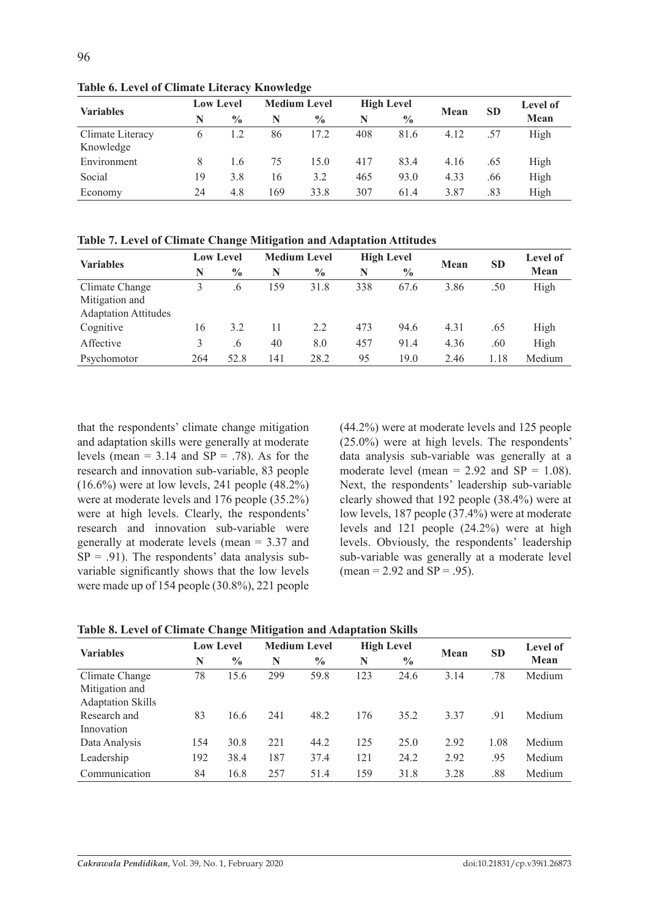| <b>Variables</b>              | <b>Low Level</b> |               | <b>Medium Level</b> |               | <b>High Level</b> |               | Mean | <b>SD</b> | <b>Level of</b> |
|-------------------------------|------------------|---------------|---------------------|---------------|-------------------|---------------|------|-----------|-----------------|
|                               | N                | $\frac{0}{0}$ | N                   | $\frac{0}{0}$ | N                 | $\frac{0}{0}$ |      |           | Mean            |
| Climate Literacy<br>Knowledge | 6                |               | 86                  | 17.2          | 408               | 81.6          | 4.12 | .57       | High            |
| Environment                   | 8                | 1.6           | 75                  | 15.0          | 417               | 83.4          | 4.16 | .65       | High            |
| Social                        | 19               | 3.8           | 16                  | 3.2           | 465               | 93.0          | 4.33 | .66       | High            |
| Economy                       | 24               | 4.8           | 169                 | 33.8          | 307               | 61.4          | 3.87 | .83       | High            |

**Table 6. Level of Climate Literacy Knowledge**

|  |  |  | Table 7. Level of Climate Change Mitigation and Adaptation Attitudes |  |  |
|--|--|--|----------------------------------------------------------------------|--|--|
|  |  |  |                                                                      |  |  |

| <b>Variables</b>            | <b>Low Level</b> |               | <b>Medium Level</b> |               | <b>High Level</b> |               |      |           | <b>Level of</b> |
|-----------------------------|------------------|---------------|---------------------|---------------|-------------------|---------------|------|-----------|-----------------|
|                             | N                | $\frac{0}{0}$ | N                   | $\frac{0}{0}$ | N                 | $\frac{0}{0}$ | Mean | <b>SD</b> | Mean            |
| Climate Change              |                  | .6            | 159                 | 31.8          | 338               | 67.6          | 3.86 | .50       | High            |
| Mitigation and              |                  |               |                     |               |                   |               |      |           |                 |
| <b>Adaptation Attitudes</b> |                  |               |                     |               |                   |               |      |           |                 |
| Cognitive                   | 16               | 3.2           | 11                  | 2.2           | 473               | 94.6          | 4.31 | .65       | High            |
| Affective                   | 3                | .6            | 40                  | 8.0           | 457               | 91.4          | 4.36 | .60       | High            |
| Psychomotor                 | 264              | 52.8          | 141                 | 28.2          | 95                | 19.0          | 2.46 | !.18      | Medium          |

that the respondents' climate change mitigation and adaptation skills were generally at moderate levels (mean =  $3.14$  and SP = .78). As for the research and innovation sub-variable, 83 people (16.6%) were at low levels, 241 people (48.2%) were at moderate levels and 176 people (35.2%) were at high levels. Clearly, the respondents' research and innovation sub-variable were generally at moderate levels (mean = 3.37 and  $SP = .91$ ). The respondents' data analysis subvariable significantly shows that the low levels were made up of 154 people (30.8%), 221 people (44.2%) were at moderate levels and 125 people (25.0%) were at high levels. The respondents' data analysis sub-variable was generally at a moderate level (mean =  $2.92$  and SP =  $1.08$ ). Next, the respondents' leadership sub-variable clearly showed that 192 people (38.4%) were at low levels, 187 people (37.4%) were at moderate levels and 121 people (24.2%) were at high levels. Obviously, the respondents' leadership sub-variable was generally at a moderate level  $(mean = 2.92 and SP = .95)$ .

|  |  | Table 8. Level of Climate Change Mitigation and Adaptation Skills |
|--|--|-------------------------------------------------------------------|
|--|--|-------------------------------------------------------------------|

| <b>Variables</b>         | <b>Low Level</b> |               | <b>Medium Level</b> |               | <b>High Level</b> |               |       |           | <b>Level of</b> |
|--------------------------|------------------|---------------|---------------------|---------------|-------------------|---------------|-------|-----------|-----------------|
|                          | N                | $\frac{0}{0}$ | N                   | $\frac{0}{0}$ | N                 | $\frac{0}{0}$ | Mean  | <b>SD</b> | Mean            |
| Climate Change           | 78               | 15.6          | 299                 | 59.8          | 123               | 24.6          | 3.14  | .78       | Medium          |
| Mitigation and           |                  |               |                     |               |                   |               |       |           |                 |
| <b>Adaptation Skills</b> |                  |               |                     |               |                   |               |       |           |                 |
| Research and             | 83               | 16.6          | 241                 | 48.2          | 176               | 35.2          | 3 3 7 | .91       | Medium          |
| Innovation               |                  |               |                     |               |                   |               |       |           |                 |
| Data Analysis            | 154              | 30.8          | 221                 | 44.2          | 125               | 25.0          | 2.92  | 1.08      | Medium          |
| Leadership               | 192              | 38.4          | 187                 | 37.4          | 121               | 24.2          | 2.92  | .95       | Medium          |
| Communication            | 84               | 16.8          | 257                 | 51.4          | 159               | 31.8          | 3.28  | .88       | Medium          |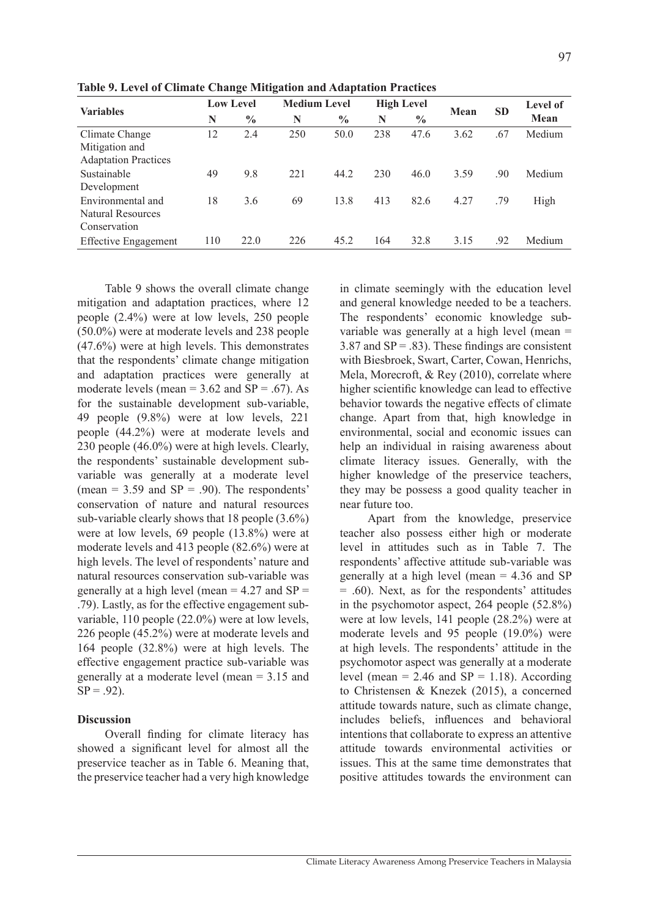| <b>Variables</b>            | <b>Low Level</b> |               | <b>Medium Level</b> |               | <b>High Level</b> |               |      |           | <b>Level of</b> |
|-----------------------------|------------------|---------------|---------------------|---------------|-------------------|---------------|------|-----------|-----------------|
|                             | N                | $\frac{0}{0}$ | N                   | $\frac{0}{0}$ | N                 | $\frac{0}{0}$ | Mean | <b>SD</b> | Mean            |
| Climate Change              | 12               | 2.4           | 250                 | 50.0          | 238               | 47.6          | 3.62 | .67       | Medium          |
| Mitigation and              |                  |               |                     |               |                   |               |      |           |                 |
| <b>Adaptation Practices</b> |                  |               |                     |               |                   |               |      |           |                 |
| Sustainable                 | 49               | 9.8           | 221                 | 44.2          | 230               | 46.0          | 3.59 | .90       | Medium          |
| Development                 |                  |               |                     |               |                   |               |      |           |                 |
| Environmental and           | 18               | 3.6           | 69                  | 13.8          | 413               | 82.6          | 4.27 | .79       | High            |
| <b>Natural Resources</b>    |                  |               |                     |               |                   |               |      |           |                 |
| Conservation                |                  |               |                     |               |                   |               |      |           |                 |
| <b>Effective Engagement</b> | 110              | 22.0          | 226                 | 45.2          | 164               | 32.8          | 3.15 | .92       | Medium          |

**Table 9. Level of Climate Change Mitigation and Adaptation Practices**

Table 9 shows the overall climate change mitigation and adaptation practices, where 12 people (2.4%) were at low levels, 250 people (50.0%) were at moderate levels and 238 people (47.6%) were at high levels. This demonstrates that the respondents' climate change mitigation and adaptation practices were generally at moderate levels (mean =  $3.62$  and SP = .67). As for the sustainable development sub-variable, 49 people (9.8%) were at low levels, 221 people (44.2%) were at moderate levels and 230 people (46.0%) were at high levels. Clearly, the respondents' sustainable development subvariable was generally at a moderate level (mean =  $3.59$  and  $SP = .90$ ). The respondents' conservation of nature and natural resources sub-variable clearly shows that 18 people (3.6%) were at low levels, 69 people (13.8%) were at moderate levels and 413 people (82.6%) were at high levels. The level of respondents' nature and natural resources conservation sub-variable was generally at a high level (mean  $= 4.27$  and SP  $=$ .79). Lastly, as for the effective engagement subvariable, 110 people (22.0%) were at low levels, 226 people (45.2%) were at moderate levels and 164 people (32.8%) were at high levels. The effective engagement practice sub-variable was generally at a moderate level (mean = 3.15 and  $SP = .92$ ).

## **Discussion**

Overall finding for climate literacy has showed a significant level for almost all the preservice teacher as in Table 6. Meaning that, the preservice teacher had a very high knowledge in climate seemingly with the education level and general knowledge needed to be a teachers. The respondents' economic knowledge subvariable was generally at a high level (mean = 3.87 and  $SP = .83$ ). These findings are consistent with Biesbroek, Swart, Carter, Cowan, Henrichs, Mela, Morecroft, & Rey (2010), correlate where higher scientific knowledge can lead to effective behavior towards the negative effects of climate change. Apart from that, high knowledge in environmental, social and economic issues can help an individual in raising awareness about climate literacy issues. Generally, with the higher knowledge of the preservice teachers, they may be possess a good quality teacher in near future too.

Apart from the knowledge, preservice teacher also possess either high or moderate level in attitudes such as in Table 7. The respondents' affective attitude sub-variable was generally at a high level (mean = 4.36 and SP = .60). Next, as for the respondents' attitudes in the psychomotor aspect, 264 people (52.8%) were at low levels, 141 people (28.2%) were at moderate levels and 95 people (19.0%) were at high levels. The respondents' attitude in the psychomotor aspect was generally at a moderate level (mean =  $2.46$  and SP = 1.18). According to Christensen & Knezek (2015), a concerned attitude towards nature, such as climate change, includes beliefs, influences and behavioral intentions that collaborate to express an attentive attitude towards environmental activities or issues. This at the same time demonstrates that positive attitudes towards the environment can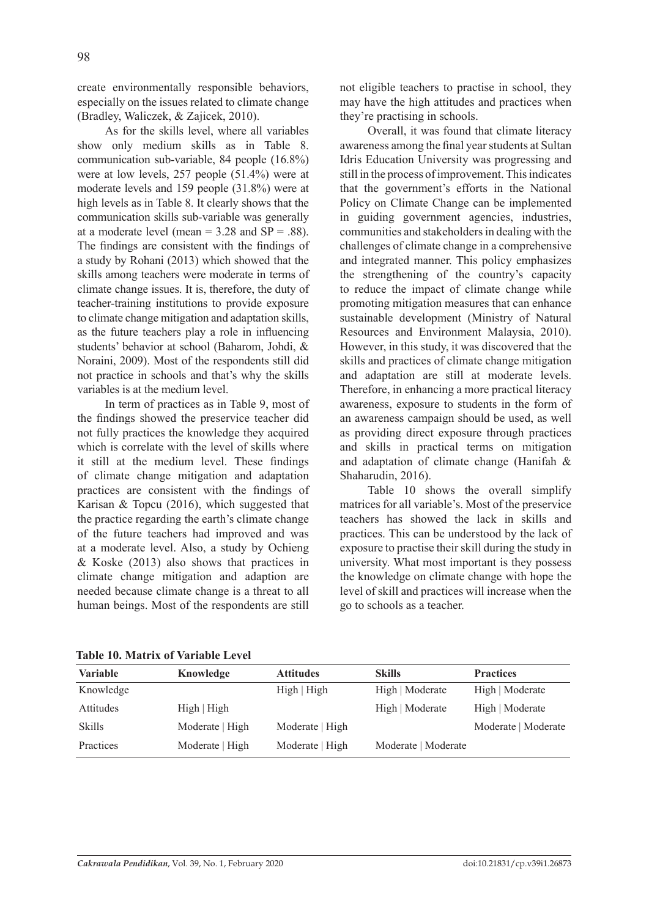create environmentally responsible behaviors, especially on the issues related to climate change (Bradley, Waliczek, & Zajicek, 2010).

As for the skills level, where all variables show only medium skills as in Table 8. communication sub-variable, 84 people (16.8%) were at low levels, 257 people (51.4%) were at moderate levels and 159 people (31.8%) were at high levels as in Table 8. It clearly shows that the communication skills sub-variable was generally at a moderate level (mean  $= 3.28$  and  $SP = .88$ ). The findings are consistent with the findings of a study by Rohani (2013) which showed that the skills among teachers were moderate in terms of climate change issues. It is, therefore, the duty of teacher-training institutions to provide exposure to climate change mitigation and adaptation skills, as the future teachers play a role in influencing students' behavior at school (Baharom, Johdi, & Noraini, 2009). Most of the respondents still did not practice in schools and that's why the skills variables is at the medium level.

In term of practices as in Table 9, most of the findings showed the preservice teacher did not fully practices the knowledge they acquired which is correlate with the level of skills where it still at the medium level. These findings of climate change mitigation and adaptation practices are consistent with the findings of Karisan & Topcu (2016), which suggested that the practice regarding the earth's climate change of the future teachers had improved and was at a moderate level. Also, a study by Ochieng & Koske (2013) also shows that practices in climate change mitigation and adaption are needed because climate change is a threat to all human beings. Most of the respondents are still not eligible teachers to practise in school, they may have the high attitudes and practices when they're practising in schools.

Overall, it was found that climate literacy awareness among the final year students at Sultan Idris Education University was progressing and still in the process of improvement. This indicates that the government's efforts in the National Policy on Climate Change can be implemented in guiding government agencies, industries, communities and stakeholders in dealing with the challenges of climate change in a comprehensive and integrated manner. This policy emphasizes the strengthening of the country's capacity to reduce the impact of climate change while promoting mitigation measures that can enhance sustainable development (Ministry of Natural Resources and Environment Malaysia, 2010). However, in this study, it was discovered that the skills and practices of climate change mitigation and adaptation are still at moderate levels. Therefore, in enhancing a more practical literacy awareness, exposure to students in the form of an awareness campaign should be used, as well as providing direct exposure through practices and skills in practical terms on mitigation and adaptation of climate change (Hanifah & Shaharudin, 2016).

Table 10 shows the overall simplify matrices for all variable's. Most of the preservice teachers has showed the lack in skills and practices. This can be understood by the lack of exposure to practise their skill during the study in university. What most important is they possess the knowledge on climate change with hope the level of skill and practices will increase when the go to schools as a teacher.

**Table 10. Matrix of Variable Level**

| <b>Variable</b> | Knowledge       | <b>Attitudes</b> | <b>Skills</b>       | <b>Practices</b>    |
|-----------------|-----------------|------------------|---------------------|---------------------|
| Knowledge       |                 | High   High      | High   Moderate     | High   Moderate     |
| Attitudes       | High   High     |                  | High   Moderate     | High   Moderate     |
| Skills          | Moderate   High | Moderate   High  |                     | Moderate   Moderate |
| Practices       | Moderate   High | Moderate   High  | Moderate   Moderate |                     |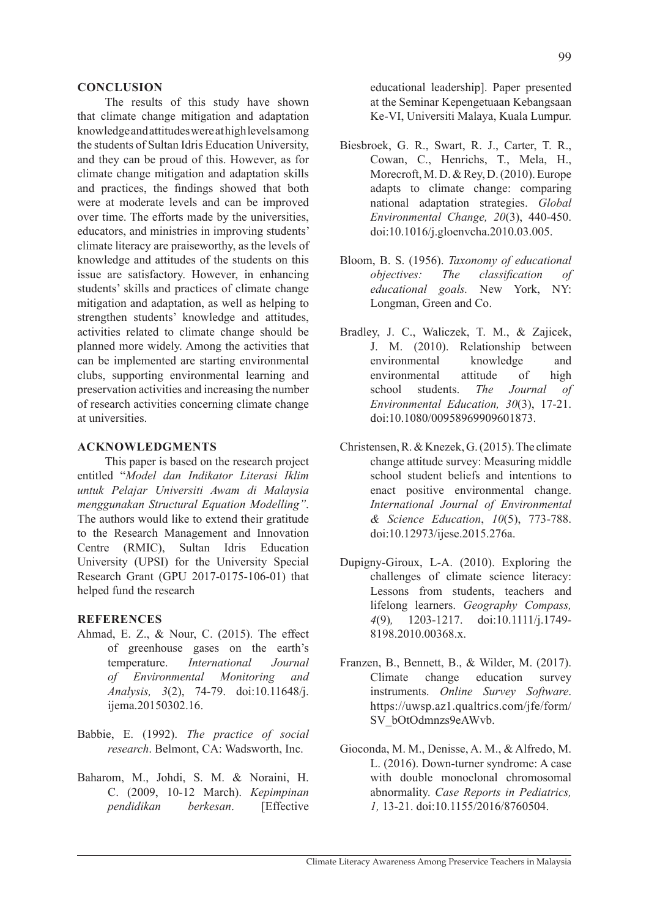### **CONCLUSION**

The results of this study have shown that climate change mitigation and adaptation knowledge and attitudes were at high levels among the students of Sultan Idris Education University, and they can be proud of this. However, as for climate change mitigation and adaptation skills and practices, the findings showed that both were at moderate levels and can be improved over time. The efforts made by the universities, educators, and ministries in improving students' climate literacy are praiseworthy, as the levels of knowledge and attitudes of the students on this issue are satisfactory. However, in enhancing students' skills and practices of climate change mitigation and adaptation, as well as helping to strengthen students' knowledge and attitudes, activities related to climate change should be planned more widely. Among the activities that can be implemented are starting environmental clubs, supporting environmental learning and preservation activities and increasing the number of research activities concerning climate change at universities.

# **ACKNOWLEDGMENTS**

This paper is based on the research project entitled "*Model dan Indikator Literasi Iklim untuk Pelajar Universiti Awam di Malaysia menggunakan Structural Equation Modelling"*. The authors would like to extend their gratitude to the Research Management and Innovation Centre (RMIC), Sultan Idris Education University (UPSI) for the University Special Research Grant (GPU 2017-0175-106-01) that helped fund the research

### **REFERENCES**

- Ahmad, E. Z., & Nour, C. (2015). The effect of greenhouse gases on the earth's temperature. *International Journal of Environmental Monitoring and Analysis, 3*(2), 74-79. doi:10.11648/j. ijema.20150302.16.
- Babbie, E. (1992). *The practice of social research*. Belmont, CA: Wadsworth, Inc.
- Baharom, M., Johdi, S. M. & Noraini, H. C. (2009, 10-12 March). *Kepimpinan pendidikan berkesan*. [Effective

educational leadership]. Paper presented at the Seminar Kepengetuaan Kebangsaan Ke-VI, Universiti Malaya, Kuala Lumpur.

- Biesbroek, G. R., Swart, R. J., Carter, T. R., Cowan, C., Henrichs, T., Mela, H., Morecroft, M. D. & Rey, D. (2010). Europe adapts to climate change: comparing national adaptation strategies. *Global Environmental Change, 20*(3), 440-450. doi:10.1016/j.gloenvcha.2010.03.005.
- Bloom, B. S. (1956). *Taxonomy of educational objectives: The classification of educational goals.* New York, NY: Longman, Green and Co.
- Bradley, J. C., Waliczek, T. M., & Zajicek, J. M. (2010). Relationship between environmental knowledge and environmental attitude of high school students. *The Journal of Environmental Education, 30*(3), 17-21. doi:10.1080/00958969909601873.
- Christensen, R. & Knezek, G. (2015). The climate change attitude survey: Measuring middle school student beliefs and intentions to enact positive environmental change. *International Journal of Environmental & Science Education*, *10*(5), 773-788. doi:10.12973/ijese.2015.276a.
- Dupigny-Giroux, L-A. (2010). Exploring the challenges of climate science literacy: Lessons from students, teachers and lifelong learners. *Geography Compass, 4*(9)*,* 1203-1217. doi:10.1111/j.1749- 8198.2010.00368.x
- Franzen, B., Bennett, B., & Wilder, M. (2017). Climate change education survey instruments. *Online Survey Software*. https://uwsp.az1.qualtrics.com/jfe/form/ SV\_bOtOdmnzs9eAWvb.
- Gioconda, M. M., Denisse, A. M., & Alfredo, M. L. (2016). Down-turner syndrome: A case with double monoclonal chromosomal abnormality. *Case Reports in Pediatrics, 1,* 13-21. doi:10.1155/2016/8760504.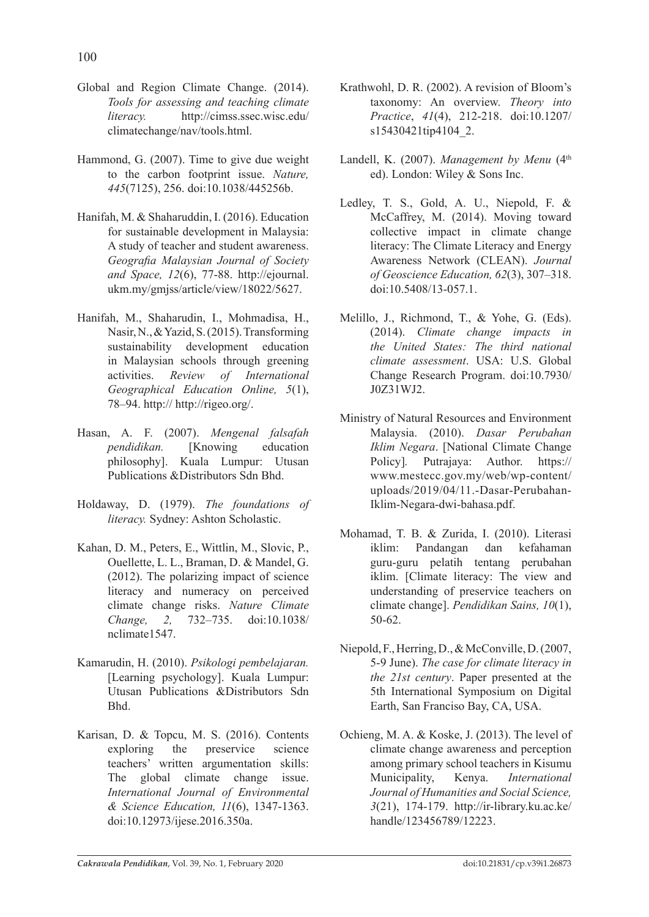- Global and Region Climate Change. (2014). *Tools for assessing and teaching climate literacy.* http://cimss.ssec.wisc.edu/ climatechange/nav/tools.html.
- Hammond, G. (2007). Time to give due weight to the carbon footprint issue. *Nature, 445*(7125), 256. doi:10.1038/445256b.
- Hanifah, M. & Shaharuddin, I. (2016). Education for sustainable development in Malaysia: A study of teacher and student awareness. *Geografia Malaysian Journal of Society and Space, 12*(6), 77-88. http://ejournal. ukm.my/gmjss/article/view/18022/5627.
- Hanifah, M., Shaharudin, I., Mohmadisa, H., Nasir, N., & Yazid, S. (2015). Transforming sustainability development education in Malaysian schools through greening activities. *Review of International Geographical Education Online, 5*(1), 78–94. http:// http://rigeo.org/.
- Hasan, A. F. (2007). *Mengenal falsafah pendidikan.* [Knowing education philosophy]. Kuala Lumpur: Utusan Publications &Distributors Sdn Bhd.
- Holdaway, D. (1979). *The foundations of literacy.* Sydney: Ashton Scholastic.
- Kahan, D. M., Peters, E., Wittlin, M., Slovic, P., Ouellette, L. L., Braman, D. & Mandel, G. (2012). The polarizing impact of science literacy and numeracy on perceived climate change risks. *Nature Climate Change, 2,* 732–735. doi:10.1038/ nclimate1547.
- Kamarudin, H. (2010). *Psikologi pembelajaran.*  [Learning psychology]. Kuala Lumpur: Utusan Publications &Distributors Sdn Bhd.
- Karisan, D. & Topcu, M. S. (2016). Contents exploring the preservice science teachers' written argumentation skills: The global climate change issue. *International Journal of Environmental & Science Education, 11*(6), 1347-1363. doi:10.12973/ijese.2016.350a.
- Krathwohl, D. R. (2002). A revision of Bloom's taxonomy: An overview. *Theory into Practice*, *41*(4), 212-218. doi:10.1207/ s15430421tip4104<sub>2.</sub>
- Landell, K. (2007). *Management by Menu* (4<sup>th</sup>) ed). London: Wiley & Sons Inc.
- Ledley, T. S., Gold, A. U., Niepold, F. & McCaffrey, M. (2014). Moving toward collective impact in climate change literacy: The Climate Literacy and Energy Awareness Network (CLEAN). *Journal of Geoscience Education, 62*(3), 307–318. doi:10.5408/13-057.1.
- Melillo, J., Richmond, T., & Yohe, G. (Eds). (2014). *Climate change impacts in the United States: The third national climate assessment*. USA: U.S. Global Change Research Program. doi:10.7930/ J0Z31WJ2.
- Ministry of Natural Resources and Environment Malaysia. (2010). *Dasar Perubahan Iklim Negara*. [National Climate Change Policy]*.* Putrajaya: Author. https:// www.mestecc.gov.my/web/wp-content/ uploads/2019/04/11.-Dasar-Perubahan-Iklim-Negara-dwi-bahasa.pdf.
- Mohamad, T. B. & Zurida, I. (2010). Literasi iklim: Pandangan dan kefahaman guru-guru pelatih tentang perubahan iklim. [Climate literacy: The view and understanding of preservice teachers on climate change]. *Pendidikan Sains, 10*(1), 50-62.
- Niepold, F., Herring, D., & McConville, D. (2007, 5-9 June). *The case for climate literacy in the 21st century*. Paper presented at the 5th International Symposium on Digital Earth, San Franciso Bay, CA, USA.
- Ochieng, M. A. & Koske, J. (2013). The level of climate change awareness and perception among primary school teachers in Kisumu Municipality, Kenya. *International Journal of Humanities and Social Science, 3*(21), 174-179. http://ir-library.ku.ac.ke/ handle/123456789/12223.